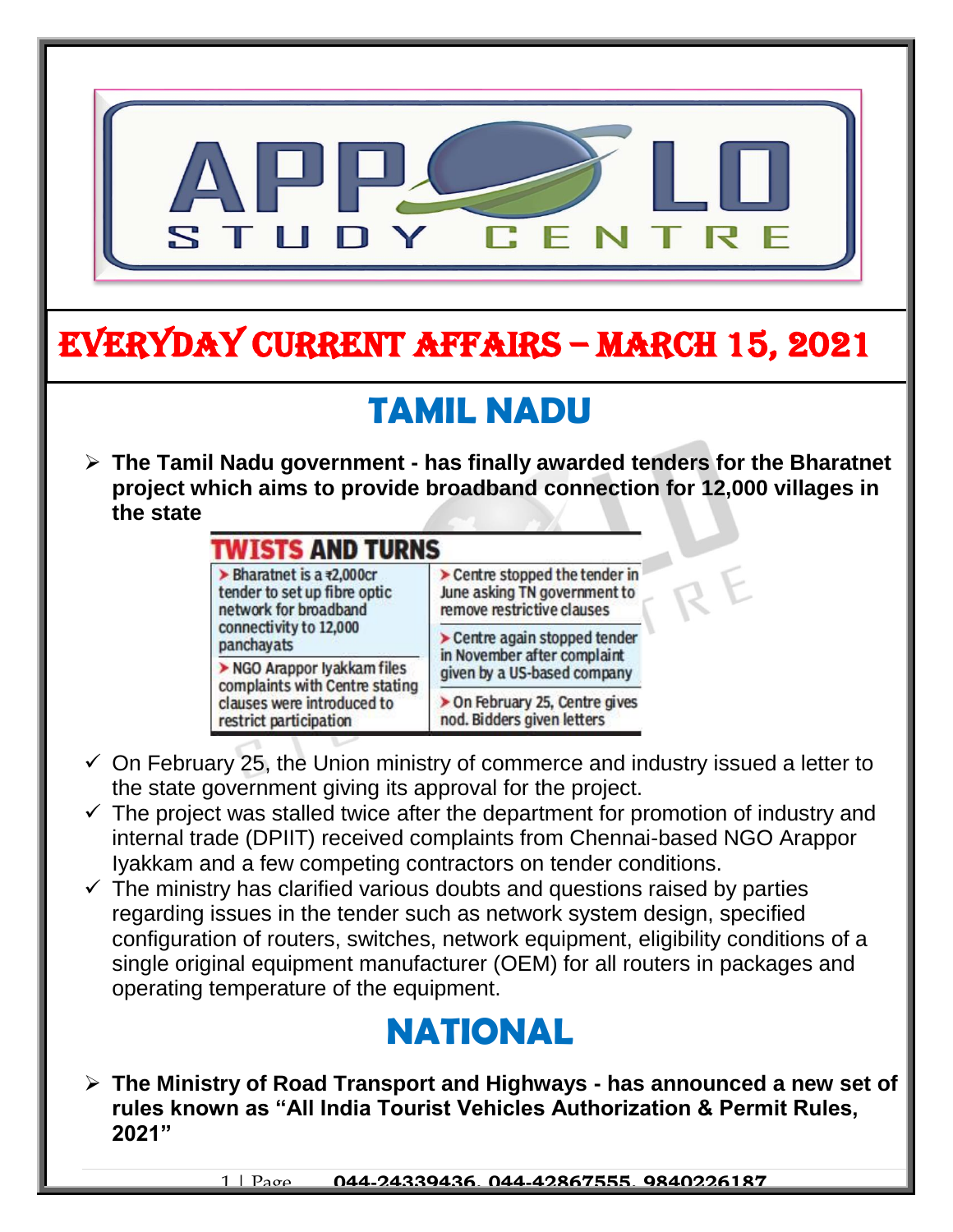

## **TWISTS AND TURNS** Bharatnet is a  $x2,000$ cr Centre stopped the tender in tender to set up fibre optic June asking TN government to network for broadband remove restrictive clauses connectivity to 12,000 > Centre again stopped tender panchayats in November after complaint NGO Arappor lyakkam files given by a US-based company complaints with Centre stating clauses were introduced to > On February 25, Centre gives nod. Bidders given letters restrict participation

- $\checkmark$  On February 25, the Union ministry of commerce and industry issued a letter to the state government giving its approval for the project.
- $\checkmark$  The project was stalled twice after the department for promotion of industry and internal trade (DPIIT) received complaints from Chennai-based NGO Arappor Iyakkam and a few competing contractors on tender conditions.
- $\checkmark$  The ministry has clarified various doubts and questions raised by parties regarding issues in the tender such as network system design, specified configuration of routers, switches, network equipment, eligibility conditions of a single original equipment manufacturer (OEM) for all routers in packages and operating temperature of the equipment.

## **NATIONAL**

 **The Ministry of Road Transport and Highways - has announced a new set of rules known as "All India Tourist Vehicles Authorization & Permit Rules, 2021"**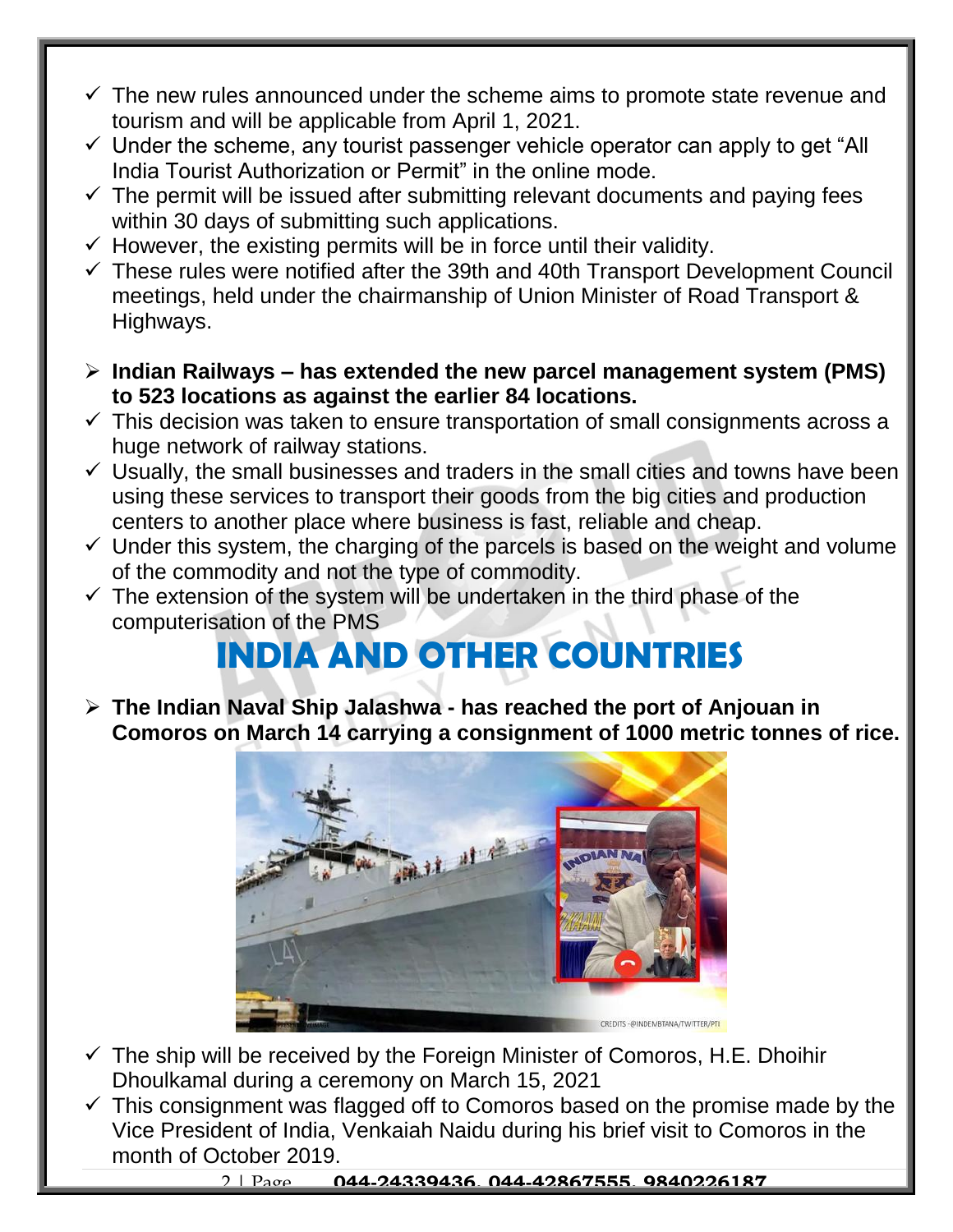- $\checkmark$  The new rules announced under the scheme aims to promote state revenue and tourism and will be applicable from April 1, 2021.
- $\checkmark$  Under the scheme, any tourist passenger vehicle operator can apply to get "All India Tourist Authorization or Permit" in the online mode.
- $\checkmark$  The permit will be issued after submitting relevant documents and paying fees within 30 days of submitting such applications.
- $\checkmark$  However, the existing permits will be in force until their validity.
- $\checkmark$  These rules were notified after the 39th and 40th Transport Development Council meetings, held under the chairmanship of Union Minister of Road Transport & Highways.
- **Indian Railways – has extended the new parcel management system (PMS) to 523 locations as against the earlier 84 locations.**
- $\checkmark$  This decision was taken to ensure transportation of small consignments across a huge network of railway stations.
- $\checkmark$  Usually, the small businesses and traders in the small cities and towns have been using these services to transport their goods from the big cities and production centers to another place where business is fast, reliable and cheap.
- $\checkmark$  Under this system, the charging of the parcels is based on the weight and volume of the commodity and not the type of commodity.
- $\checkmark$  The extension of the system will be undertaken in the third phase of the computerisation of the PMS

## **INDIA AND OTHER COUNTRIES**

 **The Indian Naval Ship Jalashwa - has reached the port of Anjouan in Comoros on March 14 carrying a consignment of 1000 metric tonnes of rice.** 



- $\checkmark$  The ship will be received by the Foreign Minister of Comoros, H.E. Dhoihir Dhoulkamal during a ceremony on March 15, 2021
- $\checkmark$  This consignment was flagged off to Comoros based on the promise made by the Vice President of India, Venkaiah Naidu during his brief visit to Comoros in the month of October 2019.

2 | Page **044-24339436, 044-42867555, 9840226187**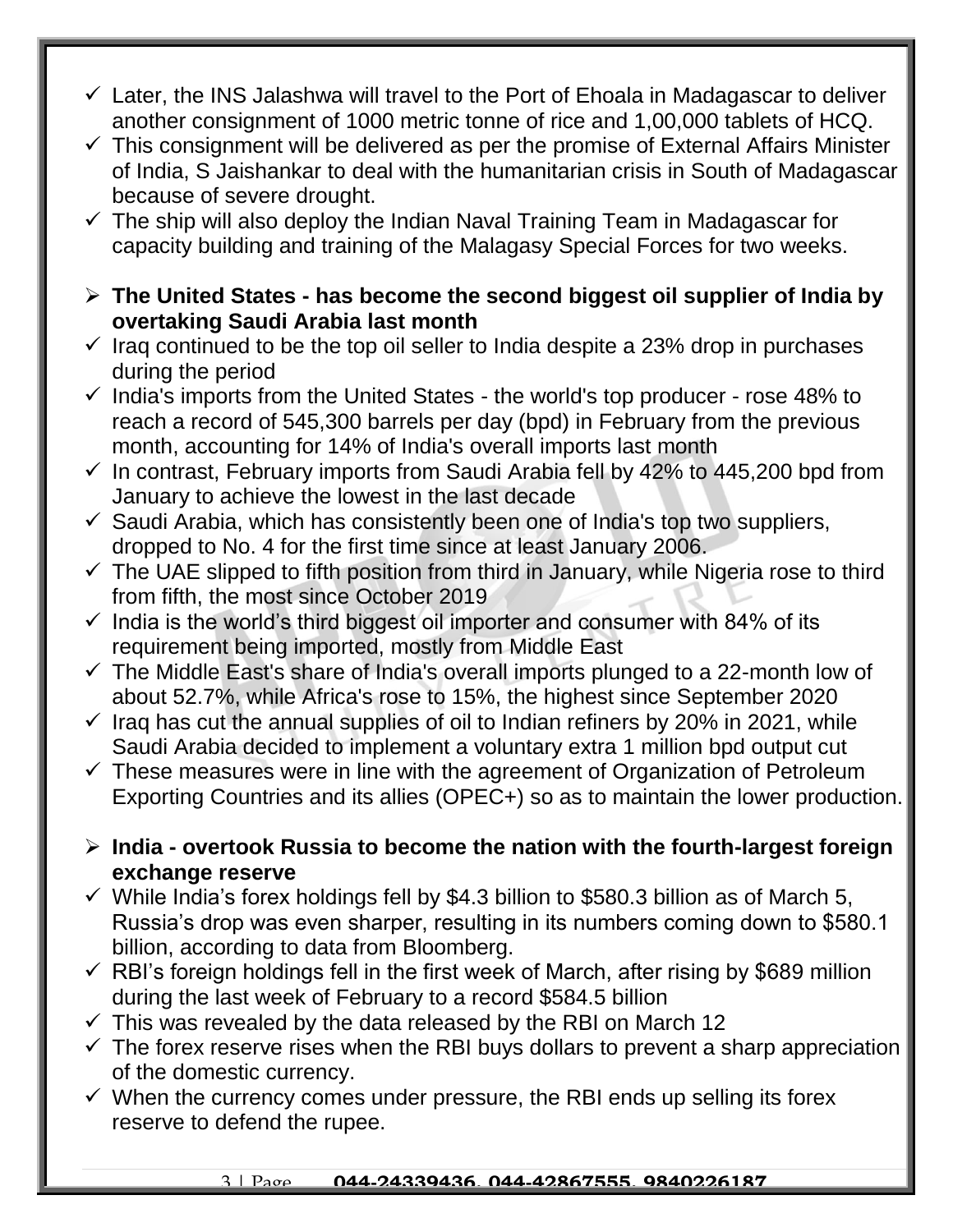- $\checkmark$  Later, the INS Jalashwa will travel to the Port of Ehoala in Madagascar to deliver another consignment of 1000 metric tonne of rice and 1,00,000 tablets of HCQ.
- $\checkmark$  This consignment will be delivered as per the promise of External Affairs Minister of India, S Jaishankar to deal with the humanitarian crisis in South of Madagascar because of severe drought.
- $\checkmark$  The ship will also deploy the Indian Naval Training Team in Madagascar for capacity building and training of the Malagasy Special Forces for two weeks.
- **The United States - has become the second biggest oil supplier of India by overtaking Saudi Arabia last month**
- $\checkmark$  Iraq continued to be the top oil seller to India despite a 23% drop in purchases during the period
- $\checkmark$  India's imports from the United States the world's top producer rose 48% to reach a record of 545,300 barrels per day (bpd) in February from the previous month, accounting for 14% of India's overall imports last month
- $\checkmark$  In contrast, February imports from Saudi Arabia fell by 42% to 445,200 bpd from January to achieve the lowest in the last decade
- $\checkmark$  Saudi Arabia, which has consistently been one of India's top two suppliers, dropped to No. 4 for the first time since at least January 2006.
- $\checkmark$  The UAE slipped to fifth position from third in January, while Nigeria rose to third from fifth, the most since October 2019
- $\checkmark$  India is the world's third biggest oil importer and consumer with 84% of its requirement being imported, mostly from Middle East
- $\checkmark$  The Middle East's share of India's overall imports plunged to a 22-month low of about 52.7%, while Africa's rose to 15%, the highest since September 2020
- $\checkmark$  Iraq has cut the annual supplies of oil to Indian refiners by 20% in 2021, while Saudi Arabia decided to implement a voluntary extra 1 million bpd output cut
- $\checkmark$  These measures were in line with the agreement of Organization of Petroleum Exporting Countries and its allies (OPEC+) so as to maintain the lower production.
- **India - overtook Russia to become the nation with the fourth-largest foreign exchange reserve**
- $\checkmark$  While India's forex holdings fell by \$4.3 billion to \$580.3 billion as of March 5, Russia's drop was even sharper, resulting in its numbers coming down to \$580.1 billion, according to data from Bloomberg.
- $\checkmark$  RBI's foreign holdings fell in the first week of March, after rising by \$689 million during the last week of February to a record \$584.5 billion
- $\checkmark$  This was revealed by the data released by the RBI on March 12
- $\checkmark$  The forex reserve rises when the RBI buys dollars to prevent a sharp appreciation of the domestic currency.
- $\checkmark$  When the currency comes under pressure, the RBI ends up selling its forex reserve to defend the rupee.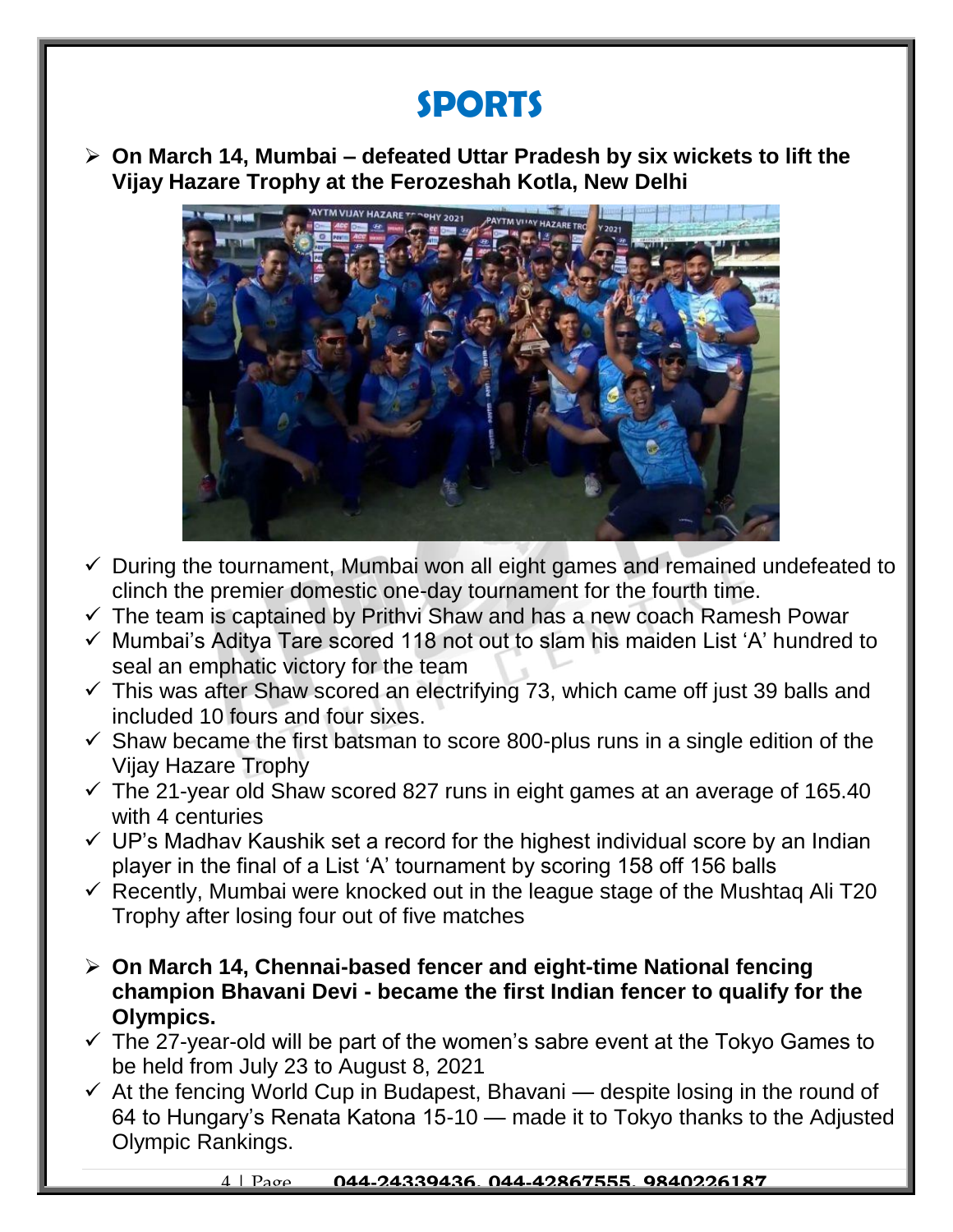## **SPORTS**

 **On March 14, Mumbai – defeated Uttar Pradesh by six wickets to lift the Vijay Hazare Trophy at the Ferozeshah Kotla, New Delhi**



- $\checkmark$  During the tournament, Mumbai won all eight games and remained undefeated to clinch the premier domestic one-day tournament for the fourth time.
- $\checkmark$  The team is captained by Prithvi Shaw and has a new coach Ramesh Powar
- $\checkmark$  Mumbai's Aditya Tare scored 118 not out to slam his maiden List 'A' hundred to seal an emphatic victory for the team
- $\checkmark$  This was after Shaw scored an electrifying 73, which came off just 39 balls and included 10 fours and four sixes.
- $\checkmark$  Shaw became the first batsman to score 800-plus runs in a single edition of the Vijay Hazare Trophy
- $\checkmark$  The 21-year old Shaw scored 827 runs in eight games at an average of 165.40 with 4 centuries
- $\checkmark$  UP's Madhav Kaushik set a record for the highest individual score by an Indian player in the final of a List 'A' tournament by scoring 158 off 156 balls
- $\checkmark$  Recently, Mumbai were knocked out in the league stage of the Mushtag Ali T20 Trophy after losing four out of five matches
- **On March 14, Chennai-based fencer and eight-time National fencing champion Bhavani Devi - became the first Indian fencer to qualify for the Olympics.**
- $\checkmark$  The 27-year-old will be part of the women's sabre event at the Tokyo Games to be held from July 23 to August 8, 2021
- $\checkmark$  At the fencing World Cup in Budapest, Bhavani despite losing in the round of 64 to Hungary's Renata Katona 15-10 — made it to Tokyo thanks to the Adjusted Olympic Rankings.